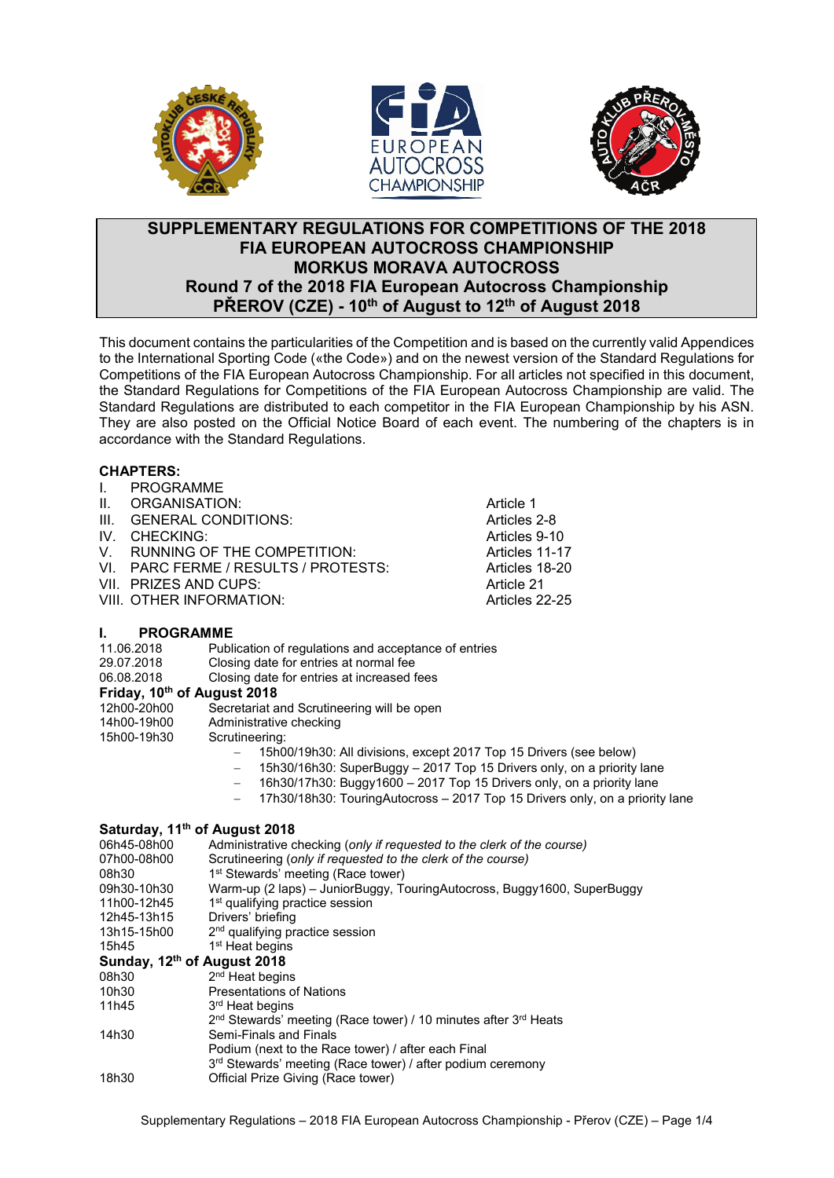





### **SUPPLEMENTARY REGULATIONS FOR COMPETITIONS OF THE 2018 FIA EUROPEAN AUTOCROSS CHAMPIONSHIP MORKUS MORAVA AUTOCROSS Round 7 of the 2018 FIA European Autocross Championship PŘEROV (CZE) - 10th of August to 12th of August 2018**

This document contains the particularities of the Competition and is based on the currently valid Appendices to the International Sporting Code («the Code») and on the newest version of the Standard Regulations for Competitions of the FIA European Autocross Championship. For all articles not specified in this document, the Standard Regulations for Competitions of the FIA European Autocross Championship are valid. The Standard Regulations are distributed to each competitor in the FIA European Championship by his ASN. They are also posted on the Official Notice Board of each event. The numbering of the chapters is in accordance with the Standard Regulations.

#### **CHAPTERS:**

- **I. PROGRAMME**<br>II. ORGANISATIC
- 
- II. ORGANISATION: Article 1 III. GENERAL CONDITIONS: Articles 2-8
- 
- IV. CHECKING: <br>
V. RUNNING OF THE COMPETITION: Articles 11-17
- V. RUNNING OF THE COMPETITION: Articles 11-17<br>VI. PARC FERME / RESULTS / PROTESTS: Articles 18-20 VI. PARC FERME / RESULTS / PROTESTS: Articles 18-20
- VII. PRIZES AND CUPS:
- VIII. OTHER INFORMATION: Articles 22-25

### **I. PROGRAMME**

| <br>1 IWUMAMINE                         |                                                                              |  |  |  |  |
|-----------------------------------------|------------------------------------------------------------------------------|--|--|--|--|
| 11.06.2018                              | Publication of regulations and acceptance of entries                         |  |  |  |  |
| 29.07.2018                              | Closing date for entries at normal fee                                       |  |  |  |  |
| 06.08.2018                              | Closing date for entries at increased fees                                   |  |  |  |  |
| Friday, 10 <sup>th</sup> of August 2018 |                                                                              |  |  |  |  |
| 12h00-20h00                             | Secretariat and Scrutineering will be open                                   |  |  |  |  |
| 14h00-19h00                             | Administrative checking                                                      |  |  |  |  |
| 15h00-19h30                             | Scrutineering:                                                               |  |  |  |  |
|                                         | 15h00/19h30: All divisions, except 2017 Top 15 Drivers (see below)           |  |  |  |  |
|                                         | 15h30/16h30: SuperBuggy - 2017 Top 15 Drivers only, on a priority lane       |  |  |  |  |
|                                         | 16h30/17h30: Buggy1600 - 2017 Top 15 Drivers only, on a priority lane        |  |  |  |  |
|                                         | 17h30/18h30: TouringAutocross - 2017 Top 15 Drivers only, on a priority lane |  |  |  |  |
|                                         | Saturday, 11 <sup>th</sup> of August 2018                                    |  |  |  |  |
| 06h45-08h00                             | Administrative checking (only if requested to the clerk of the course)       |  |  |  |  |
| 07h00-08h00                             | Scrutineering (only if requested to the clerk of the course)                 |  |  |  |  |
| 08h30                                   | 1 <sup>st</sup> Stewards' meeting (Race tower)                               |  |  |  |  |
| 09h30-10h30                             | Warm-up (2 laps) – JuniorBuggy, TouringAutocross, Buggy1600, SuperBuggy      |  |  |  |  |
| 11h00-12h45                             | 1 <sup>st</sup> qualifying practice session                                  |  |  |  |  |
| 12h45-13h15                             | Drivers' briefing                                                            |  |  |  |  |
| 13h15-15h00                             | 2 <sup>nd</sup> qualifying practice session                                  |  |  |  |  |
| 15h45                                   | 1 <sup>st</sup> Heat begins                                                  |  |  |  |  |
| Sunday, 12 <sup>th</sup> of August 2018 |                                                                              |  |  |  |  |
| 08h30                                   | 2 <sup>nd</sup> Heat begins                                                  |  |  |  |  |
|                                         |                                                                              |  |  |  |  |

- 10h30 Presentations of Nations<br>11h45 3<sup>rd</sup> Heat begins 3<sup>rd</sup> Heat begins 2<sup>nd</sup> Stewards' meeting (Race tower) / 10 minutes after 3<sup>rd</sup> Heats 14h30 Semi-Finals and Finals Podium (next to the Race tower) / after each Final 3<sup>rd</sup> Stewards' meeting (Race tower) / after podium ceremony
- 18h30 Official Prize Giving (Race tower)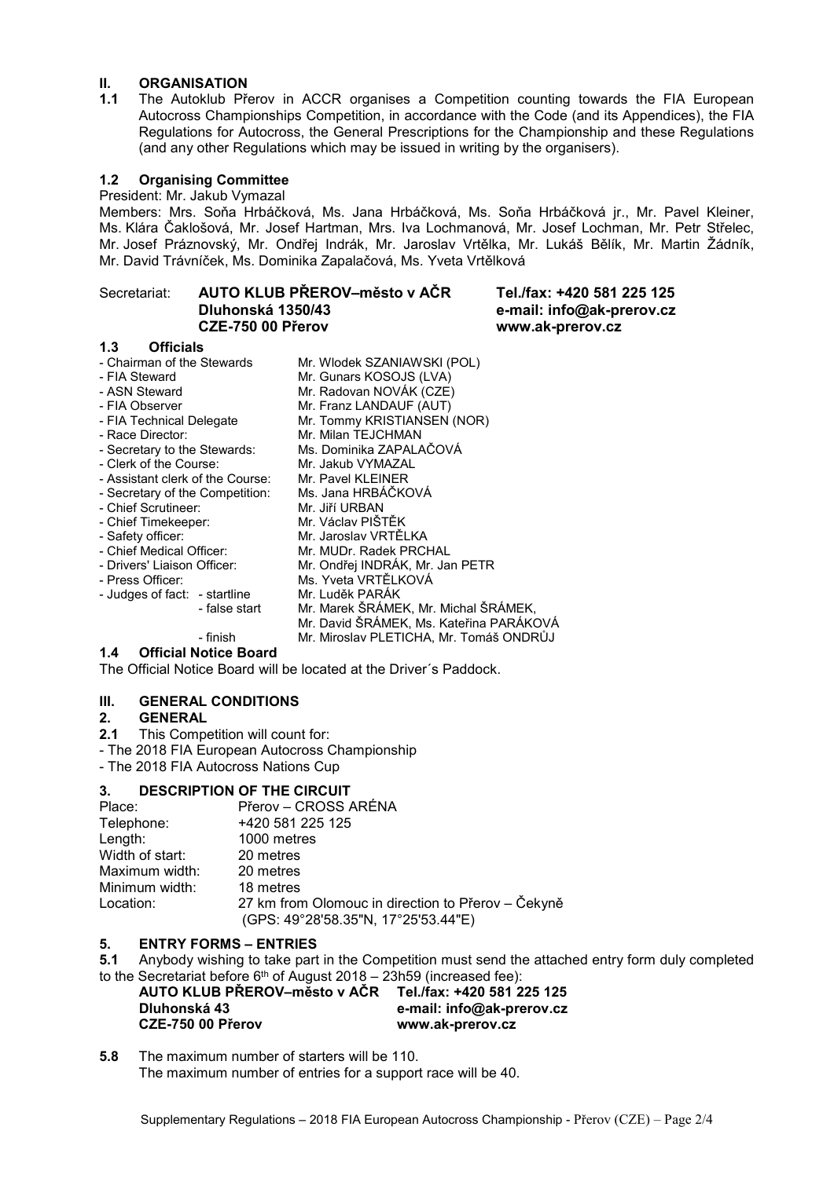### **II. ORGANISATION**<br>**1.1** The Autoklub Pře

**1.1** The Autoklub Přerov in ACCR organises a Competition counting towards the FIA European Autocross Championships Competition, in accordance with the Code (and its Appendices), the FIA Regulations for Autocross, the General Prescriptions for the Championship and these Regulations (and any other Regulations which may be issued in writing by the organisers).

#### **1.2 Organising Committee**

President: Mr. Jakub Vymazal

Members: Mrs. Soňa Hrbáčková, Ms. Jana Hrbáčková, Ms. Soňa Hrbáčková jr., Mr. Pavel Kleiner, Ms. Klára Čaklošová, Mr. Josef Hartman, Mrs. Iva Lochmanová, Mr. Josef Lochman, Mr. Petr Střelec, Mr. Josef Práznovský, Mr. Ondřej Indrák, Mr. Jaroslav Vrtělka, Mr. Lukáš Bělík, Mr. Martin Žádník, Mr. David Trávníček, Ms. Dominika Zapalačová, Ms. Yveta Vrtělková

### Secretariat: **AUTO KLUB PŘEROV–město v AČR Tel./fax: +420 581 225 125 Dluhonská 1350/43 e-mail: info@ak-prerov.cz**

# **CZE-750 00 Přerov www.ak-prerov.cz**

**1.3 Officials** - Chairman of the Stewards Mr. Wlodek SZANIAWSKI (POL)<br>- FIA Steward Mr. Gunars KOSOJS (I VA) - FIA Steward Mr. Gunars KOSOJS (LVA)<br>- ASN Steward Mr. Radovan NOVÁK (CZE) - ASN Steward Mr. Radovan NOVÁK (CZE)<br>- FIA Observer Mr. Franz LANDAUF (AUT) - FIA Observer Mr. Franz LANDAUF (AUT)<br>- FIA Technical Delegate Mr. Tommy KRISTIANSEN - FIA Technical Delegate Mr. Tommy KRISTIANSEN (NOR)<br>- Race Director: Mr. Milan TEJCHMAN Mr. Milan TEJCHMAN<br>Ms. Dominika ZAPALAČOVÁ - Secretary to the Stewards: Ms. Dominika ZAPAL<br>- Clerk of the Course: Mr. Jakub VYMAZAL - Clerk of the Course: Mr. Jakub VYMAZAI<br>- Assistant clerk of the Course: Mr. Pavel KLEINER - Assistant clerk of the Course: Mr. Pavel KLEINER<br>- Secretary of the Competition: Ms. Jana HRBÁČKOVÁ - Secretary of the Competition: Ms. Jana HRBÁ<br>Chief Scrutineer: Mr. Jiří URBAN - Chief Scrutineer: Mr. Jiří URBAN<br>- Chief Timekeeper: Mr. Václav PIŠTĚK - Chief Timekeeper: - Safety officer: Mr. Jaroslav VRTĚLKA - Chief Medical Officer: Mr. MUDr. Radek PRCHAL<br>- Drivers' Liaison Officer: Mr. Ondřei INDRÁK. Mr. Jar - Drivers' Liaison Officer: Mr. Ondřej INDRÁK, Mr. Jan PETR Ms. Yveta VRTĚLKOVÁ<br>Mr. Luděk PARÁK - Judges of fact: - startline<br>false start -Mr. Marek ŠRÁMEK, Mr. Michal ŠRÁMEK, Mr. David ŠRÁMEK, Ms. Kateřina PARÁKOVÁ - finish Mr. Miroslav PLETICHA, Mr. Tomáš ONDRŮJ

#### **1.4 Official Notice Board**

The Official Notice Board will be located at the Driver´s Paddock.

#### **III. GENERAL CONDITIONS**

#### **2. GENERAL**

- **2.1** This Competition will count for:
- The 2018 FIA European Autocross Championship

- The 2018 FIA Autocross Nations Cup

### **3. DESCRIPTION OF THE CIRCUIT**

| Place:          | Přerov – CROSS ARÉNA                                                                      |
|-----------------|-------------------------------------------------------------------------------------------|
| Telephone:      | +420 581 225 125                                                                          |
| Length:         | 1000 metres                                                                               |
| Width of start: | 20 metres                                                                                 |
| Maximum width:  | 20 metres                                                                                 |
| Minimum width:  | 18 metres                                                                                 |
| Location:       | 27 km from Olomouc in direction to Přerov – Čekyně<br>(GPS: 49°28'58.35"N, 17°25'53.44"E) |

### **5. ENTRY FORMS – ENTRIES**

**5.1** Anybody wishing to take part in the Competition must send the attached entry form duly completed to the Secretariat before  $6<sup>th</sup>$  of August 2018 – 23h59 (increased fee):

| AUTO KLUB PŘEROV-město v AČR | Tel./fax: +420 581 225 125 |
|------------------------------|----------------------------|
| Dluhonská 43                 | e-mail: info@ak-prerov.cz  |
| CZE-750 00 Přerov            | www.ak-prerov.cz           |

**5.8** The maximum number of starters will be 110. The maximum number of entries for a support race will be 40.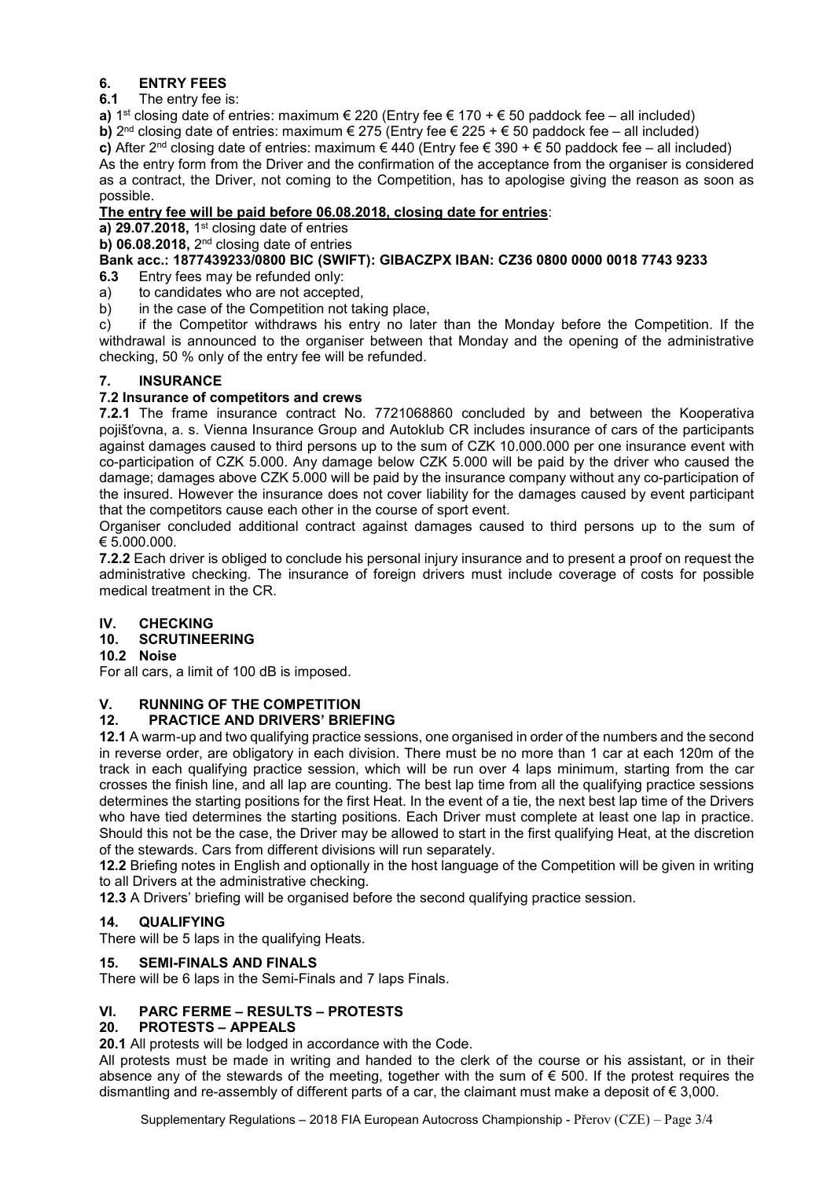## **6. ENTRY FEES**

### **6.1** The entry fee is:

**a)** 1<sup>st</sup> closing date of entries: maximum € 220 (Entry fee € 170 + € 50 paddock fee – all included) **b)**  $2^{nd}$  closing date of entries: maximum  $\in$  275 (Entry fee  $\in$  225 +  $\in$  50 paddock fee – all included) **c)** After 2<sup>nd</sup> closing date of entries: maximum € 440 (Entry fee € 390 + € 50 paddock fee – all included) As the entry form from the Driver and the confirmation of the acceptance from the organiser is considered as a contract, the Driver, not coming to the Competition, has to apologise giving the reason as soon as possible.

### **The entry fee will be paid before 06.08.2018, closing date for entries**:

**a) 29.07.2018,** 1st closing date of entries

**b) 06.08.2018,** 2nd closing date of entries

### **Bank acc.: 1877439233/0800 BIC (SWIFT): GIBACZPX IBAN: CZ36 0800 0000 0018 7743 9233**

Entry fees may be refunded only:

- a) to candidates who are not accepted,
- b) in the case of the Competition not taking place,

c) if the Competitor withdraws his entry no later than the Monday before the Competition. If the withdrawal is announced to the organiser between that Monday and the opening of the administrative checking, 50 % only of the entry fee will be refunded.

### **7. INSURANCE**

### **7.2 Insurance of competitors and crews**

**7.2.1** The frame insurance contract No. 7721068860 concluded by and between the Kooperativa pojišťovna, a. s. Vienna Insurance Group and Autoklub CR includes insurance of cars of the participants against damages caused to third persons up to the sum of CZK 10.000.000 per one insurance event with co-participation of CZK 5.000. Any damage below CZK 5.000 will be paid by the driver who caused the damage; damages above CZK 5.000 will be paid by the insurance company without any co-participation of the insured. However the insurance does not cover liability for the damages caused by event participant that the competitors cause each other in the course of sport event.

Organiser concluded additional contract against damages caused to third persons up to the sum of € 5.000.000.

**7.2.2** Each driver is obliged to conclude his personal injury insurance and to present a proof on request the administrative checking. The insurance of foreign drivers must include coverage of costs for possible medical treatment in the CR.

### **IV. CHECKING**

### **10. SCRUTINEERING**

### **10.2 Noise**

For all cars, a limit of 100 dB is imposed.

### **V. RUNNING OF THE COMPETITION**

### **12. PRACTICE AND DRIVERS' BRIEFING**

**12.1** A warm-up and two qualifying practice sessions, one organised in order of the numbers and the second in reverse order, are obligatory in each division. There must be no more than 1 car at each 120m of the track in each qualifying practice session, which will be run over 4 laps minimum, starting from the car crosses the finish line, and all lap are counting. The best lap time from all the qualifying practice sessions determines the starting positions for the first Heat. In the event of a tie, the next best lap time of the Drivers who have tied determines the starting positions. Each Driver must complete at least one lap in practice. Should this not be the case, the Driver may be allowed to start in the first qualifying Heat, at the discretion of the stewards. Cars from different divisions will run separately.

**12.2** Briefing notes in English and optionally in the host language of the Competition will be given in writing to all Drivers at the administrative checking.

**12.3** A Drivers' briefing will be organised before the second qualifying practice session.

### **14. QUALIFYING**

There will be 5 laps in the qualifying Heats.

### **15. SEMI-FINALS AND FINALS**

There will be 6 laps in the Semi-Finals and 7 laps Finals.

### **VI. PARC FERME – RESULTS – PROTESTS**

### **20. PROTESTS – APPEALS**

**20.1** All protests will be lodged in accordance with the Code.

All protests must be made in writing and handed to the clerk of the course or his assistant, or in their absence any of the stewards of the meeting, together with the sum of  $\epsilon$  500. If the protest requires the dismantling and re-assembly of different parts of a car, the claimant must make a deposit of  $\epsilon$  3,000.